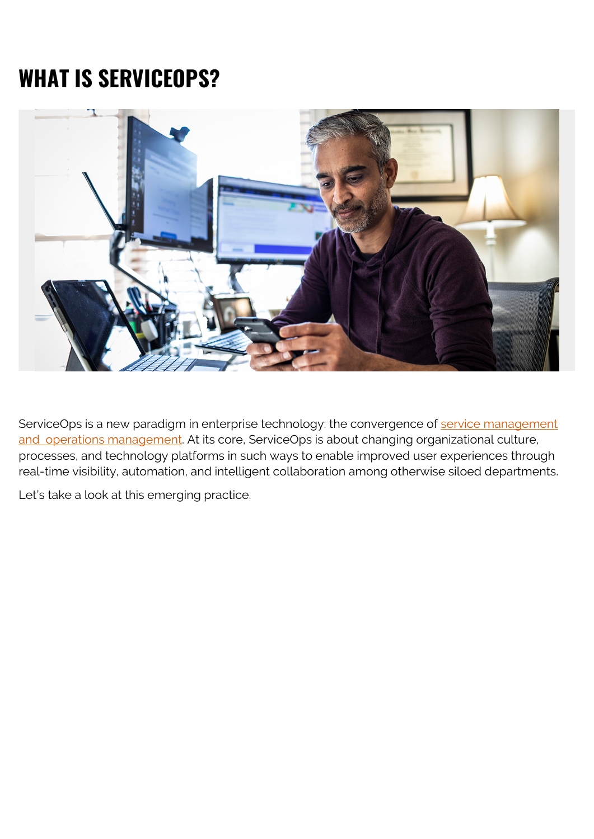# **WHAT IS SERVICEOPS?**



ServiceOps is a new paradigm in enterprise technology: the convergence of [service management](https://blogs.bmc.com/blogs/it-service-management-vs-operations-management/) [and operations management.](https://blogs.bmc.com/blogs/it-service-management-vs-operations-management/) At its core, ServiceOps is about changing organizational culture, processes, and technology platforms in such ways to enable improved user experiences through real-time visibility, automation, and intelligent collaboration among otherwise siloed departments.

Let's take a look at this emerging practice.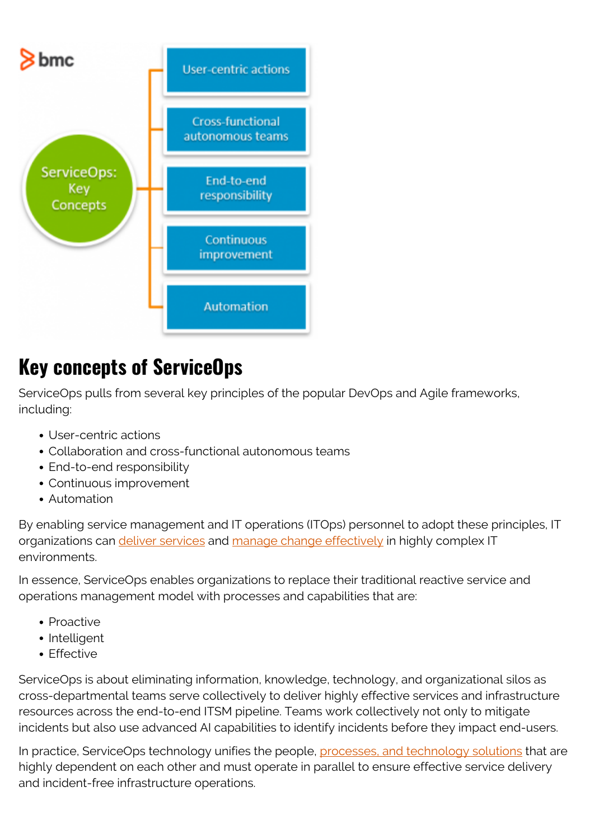

### **Key concepts of ServiceOps**

ServiceOps pulls from several key principles of the popular DevOps and Agile frameworks, including:

- User-centric actions
- Collaboration and cross-functional autonomous teams
- End-to-end responsibility
- Continuous improvement
- Automation

By enabling service management and IT operations (ITOps) personnel to adopt these principles, IT organizations can [deliver services](https://blogs.bmc.com/blogs/it-service/) and [manage change effectively](https://blogs.bmc.com/blogs/types-levels-change-management/) in highly complex IT environments.

In essence, ServiceOps enables organizations to replace their traditional reactive service and operations management model with processes and capabilities that are:

- Proactive
- Intelligent
- Effective

ServiceOps is about eliminating information, knowledge, technology, and organizational silos as cross-departmental teams serve collectively to deliver highly effective services and infrastructure resources across the end-to-end ITSM pipeline. Teams work collectively not only to mitigate incidents but also use advanced AI capabilities to identify incidents before they impact end-users.

In practice, ServiceOps technology unifies the people, [processes, and technology solutions](https://blogs.bmc.com/blogs/people-process-technology/) that are highly dependent on each other and must operate in parallel to ensure effective service delivery and incident-free infrastructure operations.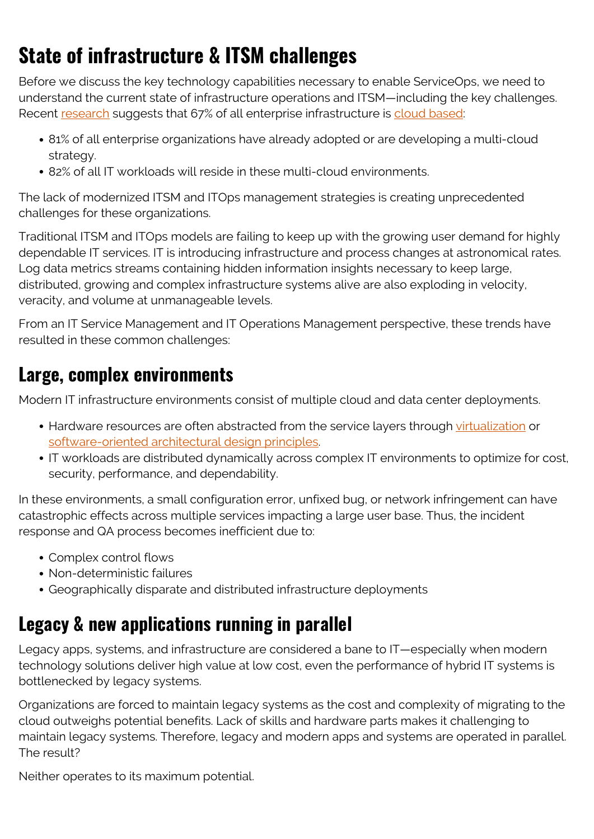# **State of infrastructure & ITSM challenges**

Before we discuss the key technology capabilities necessary to enable ServiceOps, we need to understand the current state of infrastructure operations and ITSM—including the key challenges. Recent [research](https://techjury.net/blog/cloud-computing-statistics) suggests that 67% of all enterprise infrastructure is [cloud based](https://blogs.bmc.com/blogs/public-private-hybrid-cloud/):

- 81% of all enterprise organizations have already adopted or are developing a multi-cloud strategy.
- 82% of all IT workloads will reside in these multi-cloud environments.

The lack of modernized ITSM and ITOps management strategies is creating unprecedented challenges for these organizations.

Traditional ITSM and ITOps models are failing to keep up with the growing user demand for highly dependable IT services. IT is introducing infrastructure and process changes at astronomical rates. Log data metrics streams containing hidden information insights necessary to keep large, distributed, growing and complex infrastructure systems alive are also exploding in velocity, veracity, and volume at unmanageable levels.

From an IT Service Management and IT Operations Management perspective, these trends have resulted in these common challenges:

#### **Large, complex environments**

Modern IT infrastructure environments consist of multiple cloud and data center deployments.

- Hardware resources are often abstracted from the service layers through [virtualization](https://blogs.bmc.com/blogs/it-virtualization/) or [software-oriented architectural design principles](https://blogs.bmc.com/blogs/service-oriented-architecture-overview/).
- IT workloads are distributed dynamically across complex IT environments to optimize for cost, security, performance, and dependability.

In these environments, a small configuration error, unfixed bug, or network infringement can have catastrophic effects across multiple services impacting a large user base. Thus, the incident response and QA process becomes inefficient due to:

- Complex control flows
- Non-deterministic failures
- Geographically disparate and distributed infrastructure deployments

### **Legacy & new applications running in parallel**

Legacy apps, systems, and infrastructure are considered a bane to IT—especially when modern technology solutions deliver high value at low cost, even the performance of hybrid IT systems is bottlenecked by legacy systems.

Organizations are forced to maintain legacy systems as the cost and complexity of migrating to the cloud outweighs potential benefits. Lack of skills and hardware parts makes it challenging to maintain legacy systems. Therefore, legacy and modern apps and systems are operated in parallel. The result?

Neither operates to its maximum potential.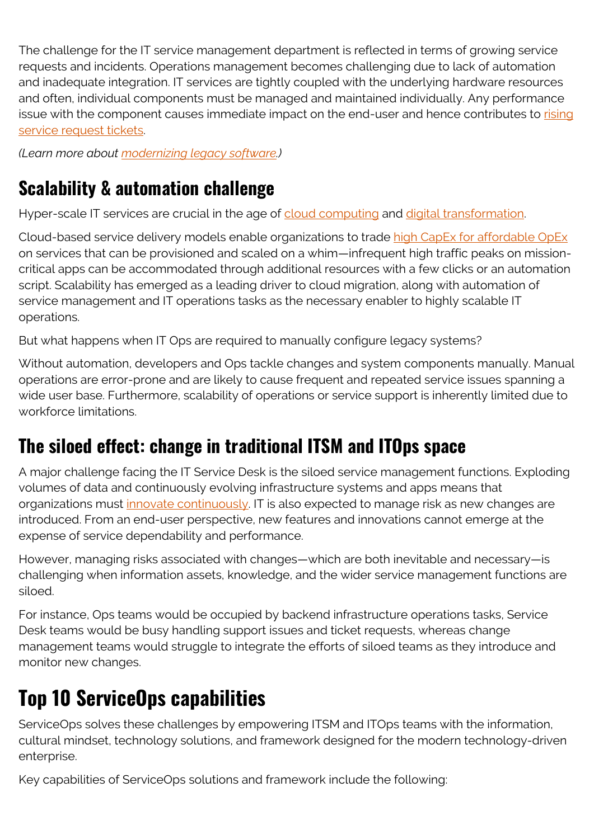The challenge for the IT service management department is reflected in terms of growing service requests and incidents. Operations management becomes challenging due to lack of automation and inadequate integration. IT services are tightly coupled with the underlying hardware resources and often, individual components must be managed and maintained individually. Any performance issue with the component causes immediate impact on the end-user and hence contributes to [rising](https://blogs.bmc.com/blogs/request-management/) [service request tickets.](https://blogs.bmc.com/blogs/request-management/)

*(Learn more about [modernizing legacy software](https://blogs.bmc.com/blogs/application-software-modernization/).)*

### **Scalability & automation challenge**

Hyper-scale IT services are crucial in the age of [cloud computing](https://blogs.bmc.com/blogs/saas-vs-paas-vs-iaas-whats-the-difference-and-how-to-choose/) and [digital transformation](https://blogs.bmc.com/blogs/what-is-digital-transformation/).

Cloud-based service delivery models enable organizations to trade [high CapEx for affordable OpEx](https://blogs.bmc.com/blogs/capex-vs-opex/) on services that can be provisioned and scaled on a whim—infrequent high traffic peaks on missioncritical apps can be accommodated through additional resources with a few clicks or an automation script. Scalability has emerged as a leading driver to cloud migration, along with automation of service management and IT operations tasks as the necessary enabler to highly scalable IT operations.

But what happens when IT Ops are required to manually configure legacy systems?

Without automation, developers and Ops tackle changes and system components manually. Manual operations are error-prone and are likely to cause frequent and repeated service issues spanning a wide user base. Furthermore, scalability of operations or service support is inherently limited due to workforce limitations.

### **The siloed effect: change in traditional ITSM and ITOps space**

A major challenge facing the IT Service Desk is the siloed service management functions. Exploding volumes of data and continuously evolving infrastructure systems and apps means that organizations must *[innovate continuously](https://blogs.bmc.com/blogs/continuous-innovation/)*. IT is also expected to manage risk as new changes are introduced. From an end-user perspective, new features and innovations cannot emerge at the expense of service dependability and performance.

However, managing risks associated with changes—which are both inevitable and necessary—is challenging when information assets, knowledge, and the wider service management functions are siloed.

For instance, Ops teams would be occupied by backend infrastructure operations tasks, Service Desk teams would be busy handling support issues and ticket requests, whereas change management teams would struggle to integrate the efforts of siloed teams as they introduce and monitor new changes.

## **Top 10 ServiceOps capabilities**

ServiceOps solves these challenges by empowering ITSM and ITOps teams with the information, cultural mindset, technology solutions, and framework designed for the modern technology-driven enterprise.

Key capabilities of ServiceOps solutions and framework include the following: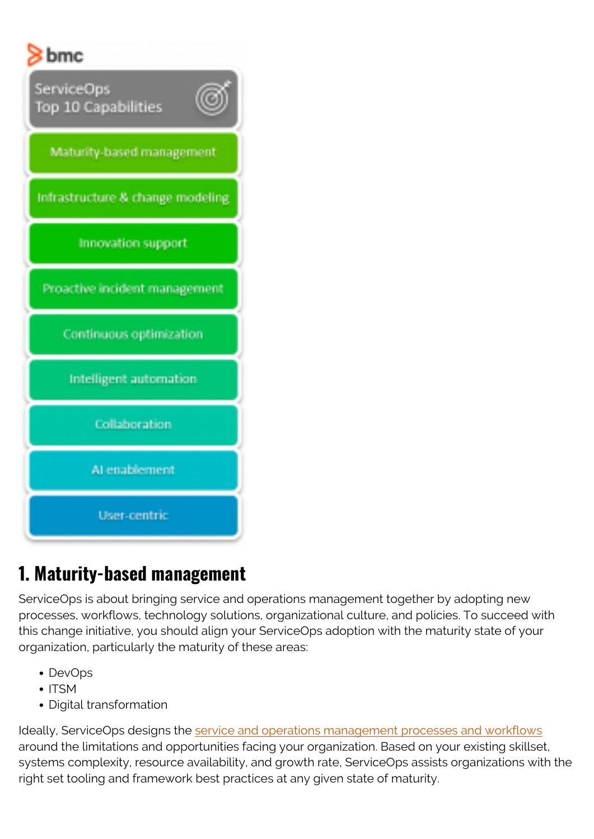

### **1. Maturity-based management**

ServiceOps is about bringing service and operations management together by adopting new processes, workflows, technology solutions, organizational culture, and policies. To succeed with this change initiative, you should align your ServiceOps adoption with the maturity state of your organization, particularly the maturity of these areas:

- DevOps
- $\bullet$  ITSM
- Digital transformation

Ideally, ServiceOps designs the [service and operations management processes and workflows](https://blogs.bmc.com/blogs/critical-it-tech-policies/) around the limitations and opportunities facing your organization. Based on your existing skillset, systems complexity, resource availability, and growth rate, ServiceOps assists organizations with the right set tooling and framework best practices at any given state of maturity.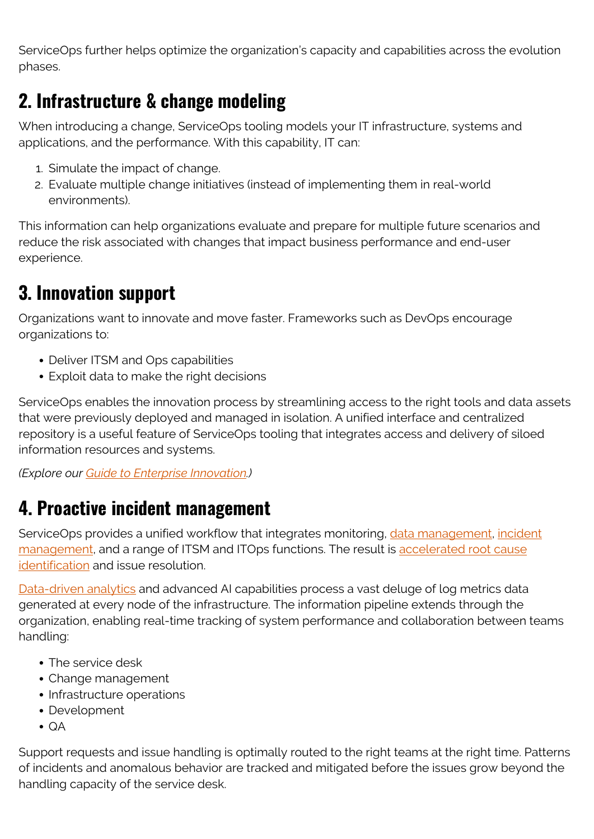ServiceOps further helps optimize the organization's capacity and capabilities across the evolution phases.

### **2. Infrastructure & change modeling**

When introducing a change, ServiceOps tooling models your IT infrastructure, systems and applications, and the performance. With this capability, IT can:

- 1. Simulate the impact of change.
- 2. Evaluate multiple change initiatives (instead of implementing them in real-world environments).

This information can help organizations evaluate and prepare for multiple future scenarios and reduce the risk associated with changes that impact business performance and end-user experience.

### **3. Innovation support**

Organizations want to innovate and move faster. Frameworks such as DevOps encourage organizations to:

- Deliver ITSM and Ops capabilities
- Exploit data to make the right decisions

ServiceOps enables the innovation process by streamlining access to the right tools and data assets that were previously deployed and managed in isolation. A unified interface and centralized repository is a useful feature of ServiceOps tooling that integrates access and delivery of siloed information resources and systems.

*(Explore our [Guide to Enterprise Innovation](https://blogs.bmc.com/blogs/innovation-introduction-basics/).)*

### **4. Proactive incident management**

ServiceOps provides a unified workflow that integrates monitoring, [data management](https://blogs.bmc.com/blogs/data-governance-data-management/), [incident](https://blogs.bmc.com/blogs/incident-management/) [management](https://blogs.bmc.com/blogs/incident-management/), and a range of ITSM and ITOps functions. The result is [accelerated root cause](https://blogs.bmc.com/blogs/root-cause-analysis/) [identification](https://blogs.bmc.com/blogs/root-cause-analysis/) and issue resolution.

[Data-driven analytics](https://blogs.bmc.com/blogs/data-analytics-vs-data-analysis) and advanced AI capabilities process a vast deluge of log metrics data generated at every node of the infrastructure. The information pipeline extends through the organization, enabling real-time tracking of system performance and collaboration between teams handling:

- The service desk
- Change management
- Infrastructure operations
- Development
- $\bullet$  QA

Support requests and issue handling is optimally routed to the right teams at the right time. Patterns of incidents and anomalous behavior are tracked and mitigated before the issues grow beyond the handling capacity of the service desk.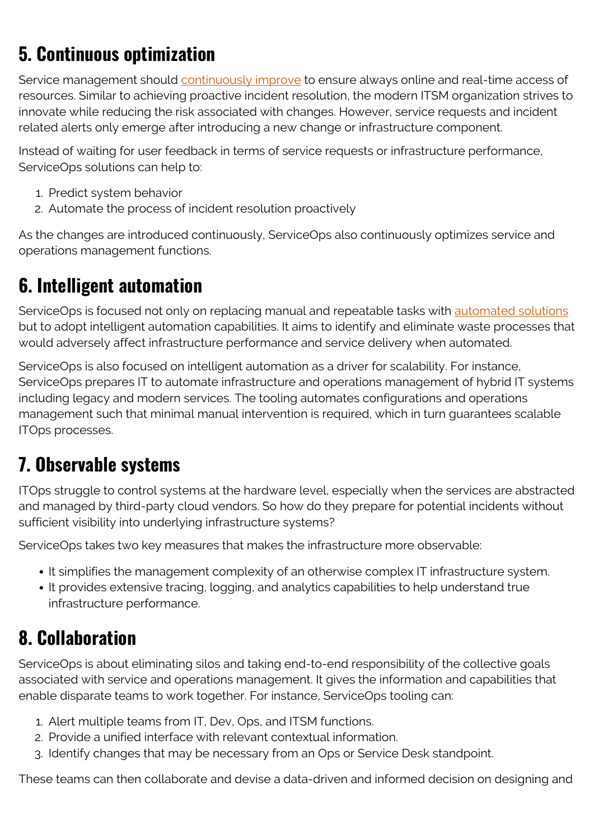## **5. Continuous optimization**

Service management should [continuously improve](https://blogs.bmc.com/blogs/itil-continual-improvement/) to ensure always online and real-time access of resources. Similar to achieving proactive incident resolution, the modern ITSM organization strives to innovate while reducing the risk associated with changes. However, service requests and incident related alerts only emerge after introducing a new change or infrastructure component.

Instead of waiting for user feedback in terms of service requests or infrastructure performance, ServiceOps solutions can help to:

- 1. Predict system behavior
- 2. Automate the process of incident resolution proactively

As the changes are introduced continuously, ServiceOps also continuously optimizes service and operations management functions.

### **6. Intelligent automation**

ServiceOps is focused not only on replacing manual and repeatable tasks with [automated solutions](https://blogs.bmc.com/blogs/it-automation/) but to adopt intelligent automation capabilities. It aims to identify and eliminate waste processes that would adversely affect infrastructure performance and service delivery when automated.

ServiceOps is also focused on intelligent automation as a driver for scalability. For instance, ServiceOps prepares IT to automate infrastructure and operations management of hybrid IT systems including legacy and modern services. The tooling automates configurations and operations management such that minimal manual intervention is required, which in turn guarantees scalable ITOps processes.

### **7. Observable systems**

ITOps struggle to control systems at the hardware level, especially when the services are abstracted and managed by third-party cloud vendors. So how do they prepare for potential incidents without sufficient visibility into underlying infrastructure systems?

ServiceOps takes two key measures that makes the infrastructure more observable:

- It simplifies the management complexity of an otherwise complex IT infrastructure system.
- It provides extensive tracing, logging, and analytics capabilities to help understand true infrastructure performance.

### **8. Collaboration**

ServiceOps is about eliminating silos and taking end-to-end responsibility of the collective goals associated with service and operations management. It gives the information and capabilities that enable disparate teams to work together. For instance, ServiceOps tooling can:

- 1. Alert multiple teams from IT, Dev, Ops, and ITSM functions.
- 2. Provide a unified interface with relevant contextual information.
- 3. Identify changes that may be necessary from an Ops or Service Desk standpoint.

These teams can then collaborate and devise a data-driven and informed decision on designing and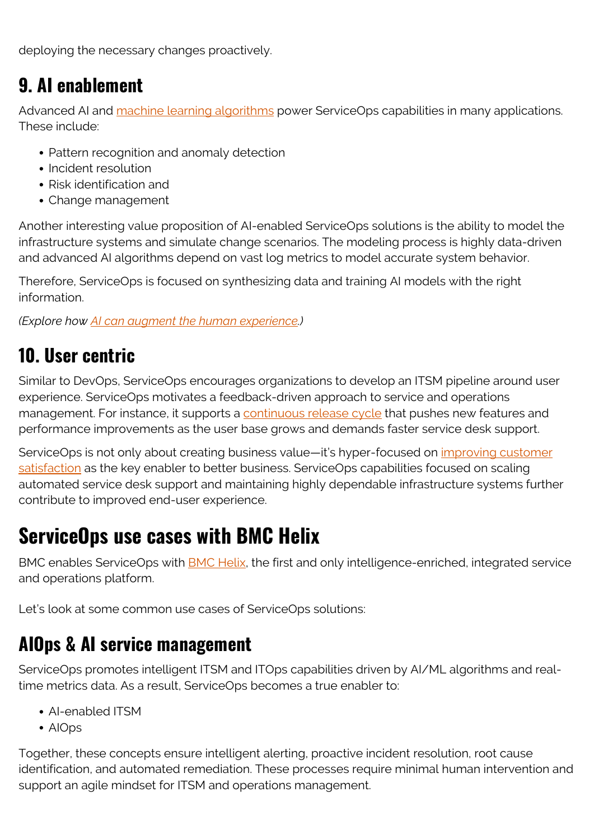deploying the necessary changes proactively.

### **9. AI enablement**

Advanced AI and [machine learning algorithms](https://blogs.bmc.com/blogs/machine-learning-algorithms/) power ServiceOps capabilities in many applications. These include:

- Pattern recognition and anomaly detection
- Incident resolution
- Risk identification and
- Change management

Another interesting value proposition of AI-enabled ServiceOps solutions is the ability to model the infrastructure systems and simulate change scenarios. The modeling process is highly data-driven and advanced AI algorithms depend on vast log metrics to model accurate system behavior.

Therefore, ServiceOps is focused on synthesizing data and training AI models with the right information.

*(Explore how [AI can augment the human experience.](https://blogs.bmc.com/blogs/ai-human-augmentation/))*

### **10. User centric**

Similar to DevOps, ServiceOps encourages organizations to develop an ITSM pipeline around user experience. ServiceOps motivates a feedback-driven approach to service and operations management. For instance, it supports a [continuous release cycle](https://blogs.bmc.com/blogs/continuous-delivery-metrics/) that pushes new features and performance improvements as the user base grows and demands faster service desk support.

ServiceOps is not only about creating business value—it's hyper-focused on [improving customer](https://blogs.bmc.com/blogs/customer-satisfaction-csat-service-desk-metric/) [satisfaction](https://blogs.bmc.com/blogs/customer-satisfaction-csat-service-desk-metric/) as the key enabler to better business. ServiceOps capabilities focused on scaling automated service desk support and maintaining highly dependable infrastructure systems further contribute to improved end-user experience.

### **ServiceOps use cases with BMC Helix**

BMC enables ServiceOps with **[BMC Helix](https://blogs.bmc.com/it-solutions/bmc-helix.html)**, the first and only intelligence-enriched, integrated service and operations platform.

Let's look at some common use cases of ServiceOps solutions:

#### **AIOps & AI service management**

ServiceOps promotes intelligent ITSM and ITOps capabilities driven by AI/ML algorithms and realtime metrics data. As a result, ServiceOps becomes a true enabler to:

- AI-enabled ITSM
- AIOps

Together, these concepts ensure intelligent alerting, proactive incident resolution, root cause identification, and automated remediation. These processes require minimal human intervention and support an agile mindset for ITSM and operations management.